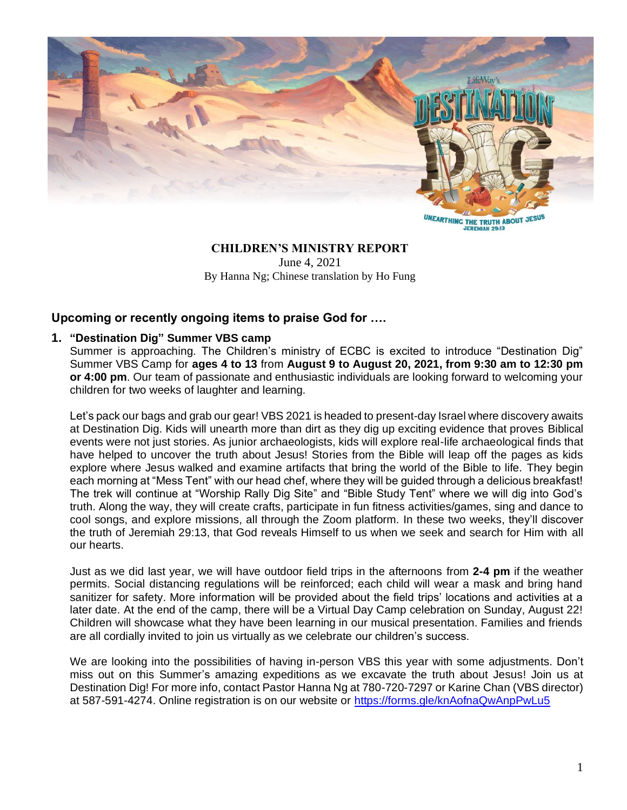

**UNEARTHING THE TRUTH ABOUT JESUS JEREMIAH 29:13** 

# **CHILDREN'S MINISTRY REPORT**

June 4, 2021 By Hanna Ng; Chinese translation by Ho Fung

## **Upcoming or recently ongoing items to praise God for ….**

## **1. "Destination Dig" Summer VBS camp**

Summer is approaching. The Children's ministry of ECBC is excited to introduce "Destination Dig" Summer VBS Camp for **ages 4 to 13** from **August 9 to August 20, 2021, from 9:30 am to 12:30 pm or 4:00 pm**. Our team of passionate and enthusiastic individuals are looking forward to welcoming your children for two weeks of laughter and learning.

Let's pack our bags and grab our gear! VBS 2021 is headed to present-day Israel where discovery awaits at Destination Dig. Kids will unearth more than dirt as they dig up exciting evidence that proves Biblical events were not just stories. As junior archaeologists, kids will explore real-life archaeological finds that have helped to uncover the truth about Jesus! Stories from the Bible will leap off the pages as kids explore where Jesus walked and examine artifacts that bring the world of the Bible to life. They begin each morning at "Mess Tent" with our head chef, where they will be guided through a delicious breakfast! The trek will continue at "Worship Rally Dig Site" and "Bible Study Tent" where we will dig into God's truth. Along the way, they will create crafts, participate in fun fitness activities/games, sing and dance to cool songs, and explore missions, all through the Zoom platform. In these two weeks, they'll discover the truth of Jeremiah 29:13, that God reveals Himself to us when we seek and search for Him with all our hearts.

Just as we did last year, we will have outdoor field trips in the afternoons from **2-4 pm** if the weather permits. Social distancing regulations will be reinforced; each child will wear a mask and bring hand sanitizer for safety. More information will be provided about the field trips' locations and activities at a later date. At the end of the camp, there will be a Virtual Day Camp celebration on Sunday, August 22! Children will showcase what they have been learning in our musical presentation. Families and friends are all cordially invited to join us virtually as we celebrate our children's success.

We are looking into the possibilities of having in-person VBS this year with some adjustments. Don't miss out on this Summer's amazing expeditions as we excavate the truth about Jesus! Join us at Destination Dig! For more info, contact Pastor Hanna Ng at 780-720-7297 or Karine Chan (VBS director) at 587-591-4274. Online registration is on our website or<https://forms.gle/knAofnaQwAnpPwLu5>